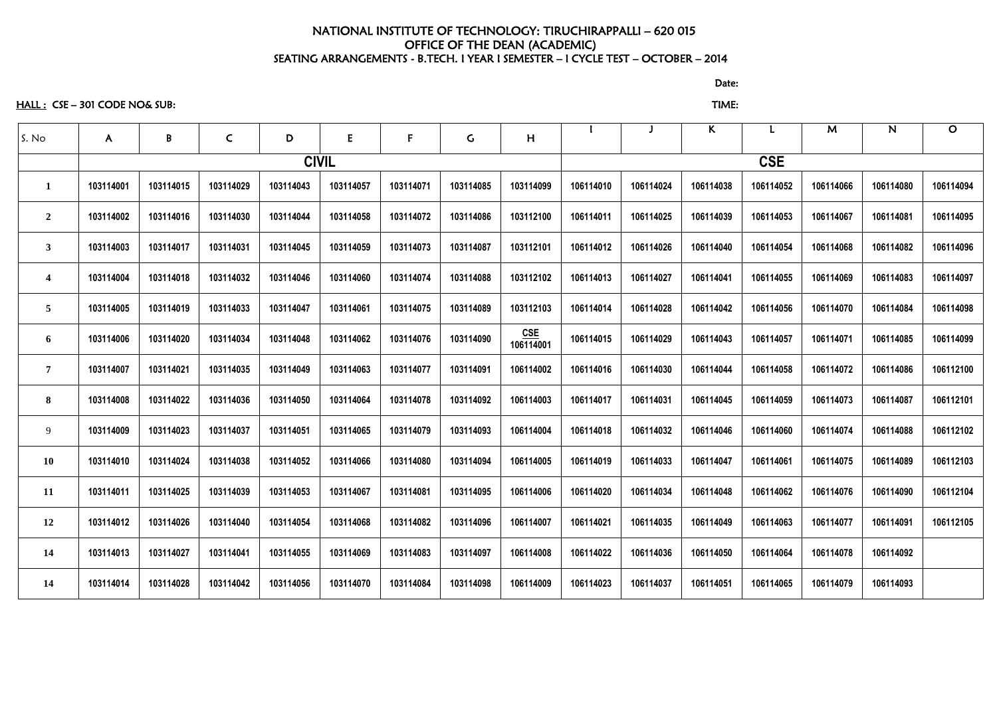#### NATIONAL INSTITUTE OF TECHNOLOGY: TIRUCHIRAPPALLI – 620 015 OFFICE OF THE DEAN (ACADEMIC) SEATING ARRANGEMENTS - B.TECH. I YEAR I SEMESTER – I CYCLE TEST – OCTOBER – 2014

discussion of the contract of the contract of the Date: the Contract of the Contract of the Contract of the Co

HALL : CSE – 301 CODE NO& SUB: TIME:

| S. No                   | $\mathsf{A}$ | B         | $\mathsf{C}$ | D            | ${\sf E}$ | $\mathbf{F}$ | $\mathsf C$ | H                |           |           | K         |           | M         | $\mathsf{N}$ | $\mathbf O$ |
|-------------------------|--------------|-----------|--------------|--------------|-----------|--------------|-------------|------------------|-----------|-----------|-----------|-----------|-----------|--------------|-------------|
|                         |              |           |              | <b>CIVIL</b> |           |              |             | <b>CSE</b>       |           |           |           |           |           |              |             |
|                         | 103114001    | 103114015 | 103114029    | 103114043    | 103114057 | 103114071    | 103114085   | 103114099        | 106114010 | 106114024 | 106114038 | 106114052 | 106114066 | 106114080    | 106114094   |
| $\overline{2}$          | 103114002    | 103114016 | 103114030    | 103114044    | 103114058 | 103114072    | 103114086   | 103112100        | 106114011 | 106114025 | 106114039 | 106114053 | 106114067 | 106114081    | 106114095   |
| $\mathbf{3}$            | 103114003    | 103114017 | 103114031    | 103114045    | 103114059 | 103114073    | 103114087   | 103112101        | 106114012 | 106114026 | 106114040 | 106114054 | 106114068 | 106114082    | 106114096   |
| $\overline{\mathbf{4}}$ | 103114004    | 103114018 | 103114032    | 103114046    | 103114060 | 103114074    | 103114088   | 103112102        | 106114013 | 106114027 | 106114041 | 106114055 | 106114069 | 106114083    | 106114097   |
| 5                       | 103114005    | 103114019 | 103114033    | 103114047    | 103114061 | 103114075    | 103114089   | 103112103        | 106114014 | 106114028 | 106114042 | 106114056 | 106114070 | 106114084    | 106114098   |
| 6                       | 103114006    | 103114020 | 103114034    | 103114048    | 103114062 | 103114076    | 103114090   | CSE<br>106114001 | 106114015 | 106114029 | 106114043 | 106114057 | 106114071 | 106114085    | 106114099   |
| $\overline{7}$          | 103114007    | 103114021 | 103114035    | 103114049    | 103114063 | 103114077    | 103114091   | 106114002        | 106114016 | 106114030 | 106114044 | 106114058 | 106114072 | 106114086    | 106112100   |
| 8                       | 103114008    | 103114022 | 103114036    | 103114050    | 103114064 | 103114078    | 103114092   | 106114003        | 106114017 | 106114031 | 106114045 | 106114059 | 106114073 | 106114087    | 106112101   |
| 9                       | 103114009    | 103114023 | 103114037    | 103114051    | 103114065 | 103114079    | 103114093   | 106114004        | 106114018 | 106114032 | 106114046 | 106114060 | 106114074 | 106114088    | 106112102   |
| <b>10</b>               | 103114010    | 103114024 | 103114038    | 103114052    | 103114066 | 103114080    | 103114094   | 106114005        | 106114019 | 106114033 | 106114047 | 106114061 | 106114075 | 106114089    | 106112103   |
| 11                      | 103114011    | 103114025 | 103114039    | 103114053    | 103114067 | 103114081    | 103114095   | 106114006        | 106114020 | 106114034 | 106114048 | 106114062 | 106114076 | 106114090    | 106112104   |
| 12                      | 103114012    | 103114026 | 103114040    | 103114054    | 103114068 | 103114082    | 103114096   | 106114007        | 106114021 | 106114035 | 106114049 | 106114063 | 106114077 | 106114091    | 106112105   |
| 14                      | 103114013    | 103114027 | 103114041    | 103114055    | 103114069 | 103114083    | 103114097   | 106114008        | 106114022 | 106114036 | 106114050 | 106114064 | 106114078 | 106114092    |             |
| 14                      | 103114014    | 103114028 | 103114042    | 103114056    | 103114070 | 103114084    | 103114098   | 106114009        | 106114023 | 106114037 | 106114051 | 106114065 | 106114079 | 106114093    |             |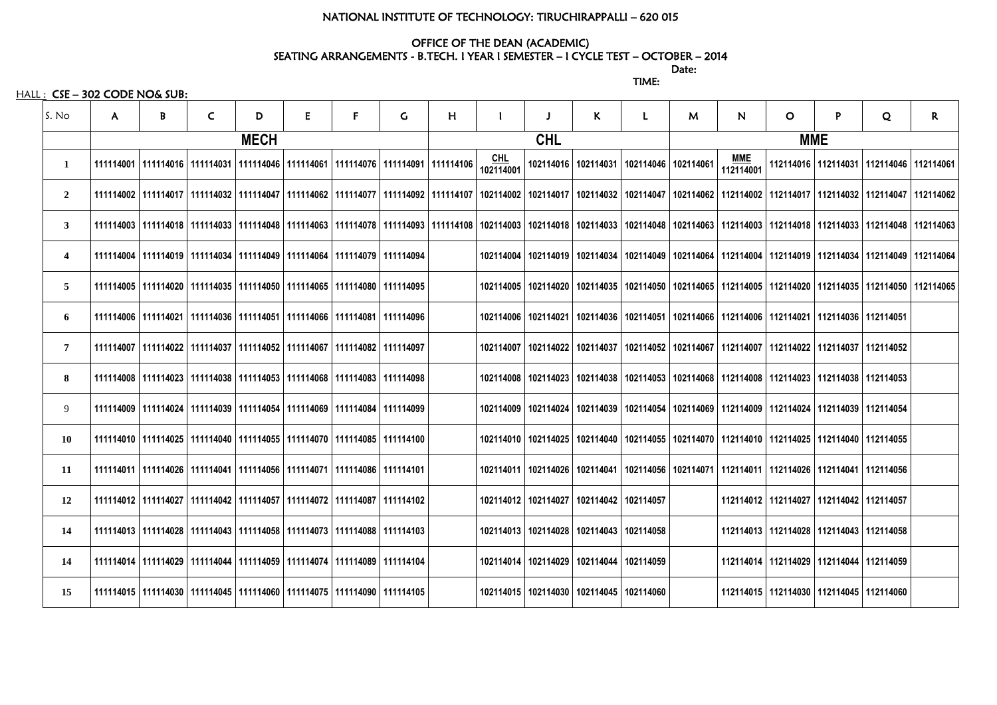## NATIONAL INSTITUTE OF TECHNOLOGY: TIRUCHIRAPPALLI – 620 015

# OFFICE OF THE DEAN (ACADEMIC)

discussion of the contract of the contract of the Date: TIME:

SEATING ARRANGEMENTS - B.TECH. I YEAR I SEMESTER – I CYCLE TEST – OCTOBER – 2014

HALL : CSE – 302 CODE NO& SUB:

| S. No          | $\mathsf{A}$ | B | $\mathsf{C}$ | D | E                                                                                                                                                                                                                               | F          | G. | H |                         |                                               | K | L                                                                                                                     | M | $\mathsf{N}$            | $\mathbf{O}$                                  | P | Q | $\mathsf{R}$                                  |
|----------------|--------------|---|--------------|---|---------------------------------------------------------------------------------------------------------------------------------------------------------------------------------------------------------------------------------|------------|----|---|-------------------------|-----------------------------------------------|---|-----------------------------------------------------------------------------------------------------------------------|---|-------------------------|-----------------------------------------------|---|---|-----------------------------------------------|
|                | <b>MECH</b>  |   |              |   |                                                                                                                                                                                                                                 | <b>CHL</b> |    |   |                         | <b>MME</b>                                    |   |                                                                                                                       |   |                         |                                               |   |   |                                               |
| 1              |              |   |              |   | 111114001   111114016   111114031   111114046   111114061   111114076   111114091   111114106                                                                                                                                   |            |    |   | <u>CHL</u><br>102114001 |                                               |   | 102114016   102114031   102114046   102114061                                                                         |   | <u>MME</u><br>112114001 |                                               |   |   | 112114016   112114031   112114046   112114061 |
| $\overline{2}$ |              |   |              |   | 111114032   112114047   111114047   111114062   11111407   11111407   111114092   111114092   112114002   102114017   102114032   102114047   102114062   112114062   112114017   112114032   112114047   112114062   112114052 |            |    |   |                         |                                               |   |                                                                                                                       |   |                         |                                               |   |   |                                               |
| $\mathbf{3}$   |              |   |              |   | 111114038 112114038 111114048 111114063 111114078 111114078 111114093 111114108 102114003 102114018 102114033 102114048 102114063 112114003 112114018 112114033 112114048 11211403  112114033  112114048  112114048  112114039  |            |    |   |                         |                                               |   |                                                                                                                       |   |                         |                                               |   |   |                                               |
| 4              |              |   |              |   | 111114004 111114014   111114034   111114049   111114064   111114079   111114094                                                                                                                                                 |            |    |   |                         |                                               |   | 102114014   102114019   102114034   102114049   102114064   112114004   112114019   112114034   112114049   112114064 |   |                         |                                               |   |   |                                               |
| 5              |              |   |              |   | 111114005   111114020   111114035   111114050   111114065   111114080   111114095                                                                                                                                               |            |    |   |                         |                                               |   | 102114005   102114020   102114035   102114050   102114065   112114005   112114020   112114035   112114050   112114065 |   |                         |                                               |   |   |                                               |
| 6              |              |   |              |   | 111114006 1111114021 111114036 111114051 111114066 1111114081 111114096                                                                                                                                                         |            |    |   |                         |                                               |   | 102114006   102114021   102114036   102114051   102114066   112114006   112114021   112114036   112114051             |   |                         |                                               |   |   |                                               |
| 7              |              |   |              |   | 111114007   111114022   111114037   111114052   111114067   111114082   111114097                                                                                                                                               |            |    |   |                         |                                               |   | 102114007   102114022   102114037   102114052   102114067   112114007   112114022   112114037   112114052             |   |                         |                                               |   |   |                                               |
| 8              |              |   |              |   | 111114008   111114023   111114038   111114053   111114068   111114083   111114098                                                                                                                                               |            |    |   |                         |                                               |   | 102114008   102114023   102114038   102114053   102114068   112114008   112114023   112114038   112114053             |   |                         |                                               |   |   |                                               |
| 9              |              |   |              |   | 111114009   111114024   111114039   111114054   111114069   111114084   111114099                                                                                                                                               |            |    |   |                         |                                               |   | 102114009   102114024   102114039   102114054   102114069   112114009   112114024   112114039   112114054             |   |                         |                                               |   |   |                                               |
| <b>10</b>      |              |   |              |   | 111114010   111114025   111114040   111114055   111114070   111114085   111114100                                                                                                                                               |            |    |   |                         |                                               |   | 102114010   102114025   102114040   102114055   102114070   112114010   112114025   112114040   112114055             |   |                         |                                               |   |   |                                               |
| 11             |              |   |              |   | 111114011   111114026   111114041   111114056   111114071   111114086   111114101                                                                                                                                               |            |    |   |                         |                                               |   | 102114011   102114026   102114041   102114056   102114071   112114011   112114026   112114041   112114056             |   |                         |                                               |   |   |                                               |
| 12             |              |   |              |   | 111114012   111114027   111114042   111114057   111114072   111114087   111114102                                                                                                                                               |            |    |   |                         | 102114012   102114027   102114042   102114057 |   |                                                                                                                       |   |                         | 112114012   112114027   112114042   112114057 |   |   |                                               |
| 14             |              |   |              |   | 111114013   111114028   111114043   111114058   111114073   111114088   111114103                                                                                                                                               |            |    |   |                         | 102114013   102114028   102114043   102114058 |   |                                                                                                                       |   |                         | 112114013   112114028   112114043   112114058 |   |   |                                               |
| 14             |              |   |              |   | 111114014   111114029   111114044   111114059   111114074   111114089   111114104                                                                                                                                               |            |    |   |                         | 102114014   102114029   102114044   102114059 |   |                                                                                                                       |   |                         | 112114014   112114029   112114044   112114059 |   |   |                                               |
| 15             |              |   |              |   | 111114015   111114030   111114045   111114060   111114075   111114090   111114105                                                                                                                                               |            |    |   |                         | 102114015   102114030   102114045   102114060 |   |                                                                                                                       |   |                         | 112114015   112114030   112114045   112114060 |   |   |                                               |